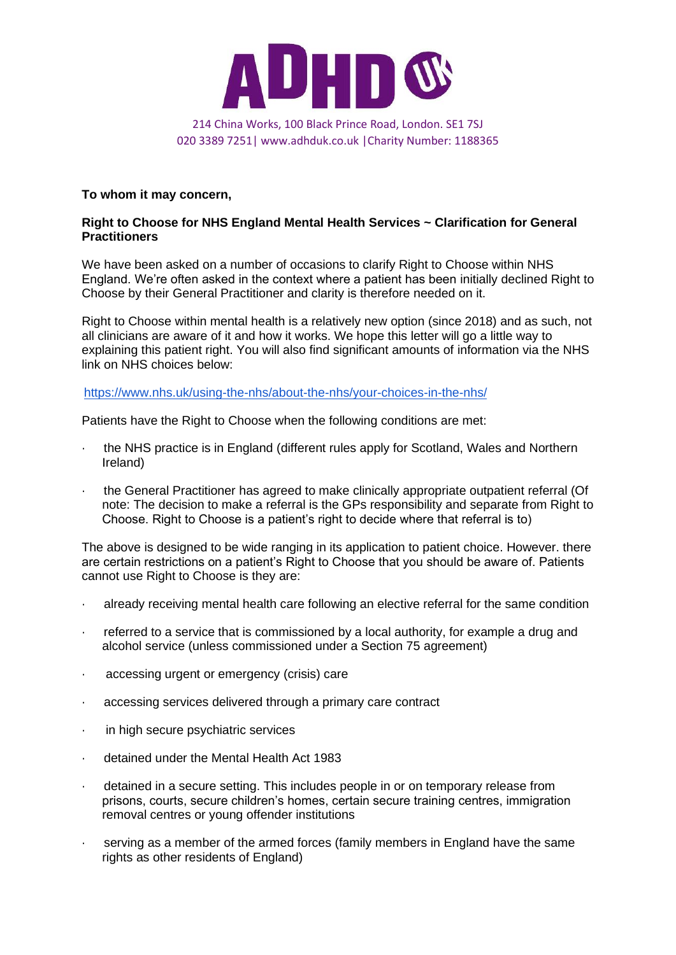

## 020 3389 7251| www.adhduk.co.uk |Charity Number: 1188365

## **To whom it may concern,**

## **Right to Choose for NHS England Mental Health Services ~ Clarification for General Practitioners**

We have been asked on a number of occasions to clarify Right to Choose within NHS England. We're often asked in the context where a patient has been initially declined Right to Choose by their General Practitioner and clarity is therefore needed on it.

Right to Choose within mental health is a relatively new option (since 2018) and as such, not all clinicians are aware of it and how it works. We hope this letter will go a little way to explaining this patient right. You will also find significant amounts of information via the NHS link on NHS choices below:

## [https://www.nhs.uk/using-the-nhs/about-the-nhs/your-choices-in-the-nhs/](https://www.nhs.uk/using-the-nhs/about-the-nhs/your-choices-in-the-nhs)

Patients have the Right to Choose when the following conditions are met:

- the NHS practice is in England (different rules apply for Scotland, Wales and Northern Ireland)
- · the General Practitioner has agreed to make clinically appropriate outpatient referral (Of note: The decision to make a referral is the GPs responsibility and separate from Right to Choose. Right to Choose is a patient's right to decide where that referral is to)

The above is designed to be wide ranging in its application to patient choice. However. there are certain restrictions on a patient's Right to Choose that you should be aware of. Patients cannot use Right to Choose is they are:

- · already receiving mental health care following an elective referral for the same condition
- · referred to a service that is commissioned by a local authority, for example a drug and alcohol service (unless commissioned under a Section 75 agreement)
- accessing urgent or emergency (crisis) care
- · accessing services delivered through a primary care contract
- · in high secure psychiatric services
- · detained under the Mental Health Act 1983
- · detained in a secure setting. This includes people in or on temporary release from prisons, courts, secure children's homes, certain secure training centres, immigration removal centres or young offender institutions
- serving as a member of the armed forces (family members in England have the same rights as other residents of England)